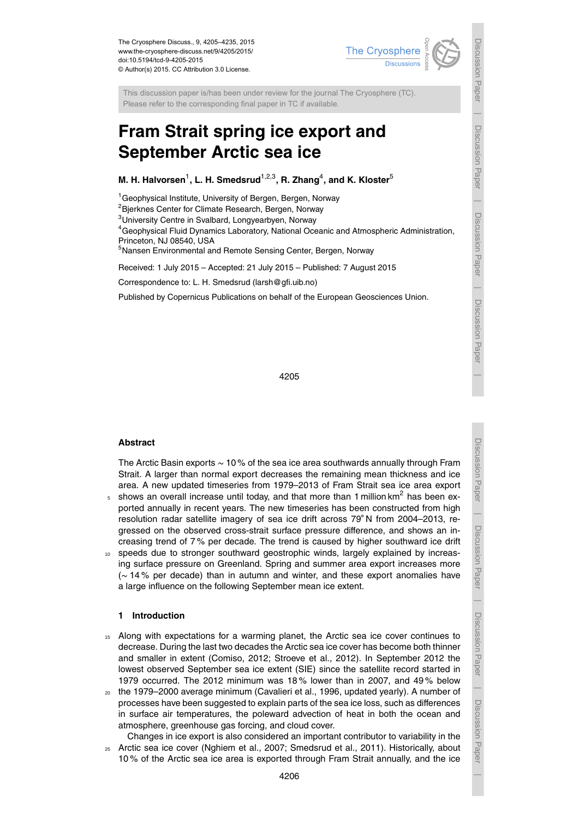

This discussion paper is/has been under review for the journal The Cryosphere (TC). Please refer to the corresponding final paper in TC if available.

# **Fram Strait spring ice export and September Arctic sea ice**

## **M. H. Halvorsen** $^1$ **, L. H. Smedsrud** $^{1,2,3}$ **, R. Zhang** $^4$ **, and K. Kloster** $^5$

<sup>1</sup> Geophysical Institute, University of Bergen, Bergen, Norway

<sup>2</sup> Bjerknes Center for Climate Research, Bergen, Norway

<sup>3</sup>University Centre in Svalbard, Longyearbyen, Norway

<sup>4</sup>Geophysical Fluid Dynamics Laboratory, National Oceanic and Atmospheric Administration, Princeton, NJ 08540, USA

<sup>5</sup>Nansen Environmental and Remote Sensing Center, Bergen, Norway

Received: 1 July 2015 – Accepted: 21 July 2015 – Published: 7 August 2015

Correspondence to: L. H. Smedsrud (larsh@gfi.uib.no)

Published by Copernicus Publications on behalf of the European Geosciences Union.

4205

## **Abstract**

The Arctic Basin exports ∼ 10 % of the sea ice area southwards annually through Fram Strait. A larger than normal export decreases the remaining mean thickness and ice area. A new updated timeseries from 1979–2013 of Fram Strait sea ice area export  $_5$  shows an overall increase until today, and that more than 1 million km<sup>2</sup> has been exported annually in recent years. The new timeseries has been constructed from high resolution radar satellite imagery of sea ice drift across 79◦ N from 2004–2013, regressed on the observed cross-strait surface pressure difference, and shows an increasing trend of 7 % per decade. The trend is caused by higher southward ice drift

<sup>10</sup> speeds due to stronger southward geostrophic winds, largely explained by increasing surface pressure on Greenland. Spring and summer area export increases more (∼ 14 % per decade) than in autumn and winter, and these export anomalies have a large influence on the following September mean ice extent.

## **1 Introduction**

- <sup>15</sup> Along with expectations for a warming planet, the Arctic sea ice cover continues to decrease. During the last two decades the Arctic sea ice cover has become both thinner and smaller in extent (Comiso, 2012; Stroeve et al., 2012). In September 2012 the lowest observed September sea ice extent (SIE) since the satellite record started in 1979 occurred. The 2012 minimum was 18 % lower than in 2007, and 49 % below
- <sup>20</sup> the 1979–2000 average minimum (Cavalieri et al., 1996, updated yearly). A number of processes have been suggested to explain parts of the sea ice loss, such as differences in surface air temperatures, the poleward advection of heat in both the ocean and atmosphere, greenhouse gas forcing, and cloud cover.
- Changes in ice export is also considered an important contributor to variability in the <sup>25</sup> Arctic sea ice cover (Nghiem et al., 2007; Smedsrud et al., 2011). Historically, about 10 % of the Arctic sea ice area is exported through Fram Strait annually, and the ice

 $\overline{\phantom{a}}$ 

Discussion Paper

Discussion Paper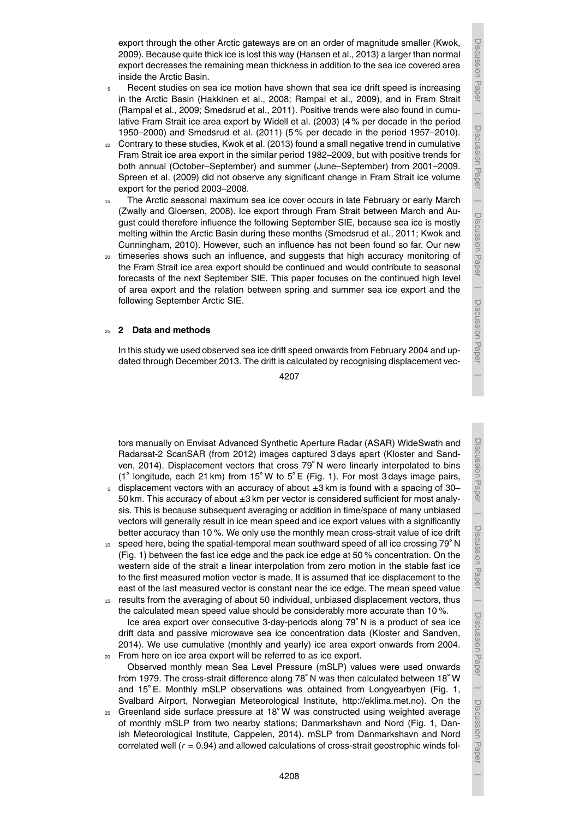Discussion Paper

 $\overline{\phantom{a}}$ 

Discussion Paper

Discussion Paper

 $\overline{\phantom{a}}$ 

Discussion Paper

 $\overline{\phantom{a}}$ 

Discussion Paper

 $\overline{\phantom{a}}$ 

export through the other Arctic gateways are on an order of magnitude smaller (Kwok, 2009). Because quite thick ice is lost this way (Hansen et al., 2013) a larger than normal export decreases the remaining mean thickness in addition to the sea ice covered area inside the Arctic Basin.

- <sup>5</sup> Recent studies on sea ice motion have shown that sea ice drift speed is increasing in the Arctic Basin (Hakkinen et al., 2008; Rampal et al., 2009), and in Fram Strait (Rampal et al., 2009; Smedsrud et al., 2011). Positive trends were also found in cumulative Fram Strait ice area export by Widell et al. (2003) (4 % per decade in the period 1950–2000) and Smedsrud et al. (2011) (5 % per decade in the period 1957–2010).
- <sup>10</sup> Contrary to these studies, Kwok et al. (2013) found a small negative trend in cumulative Fram Strait ice area export in the similar period 1982–2009, but with positive trends for both annual (October–September) and summer (June–September) from 2001–2009. Spreen et al. (2009) did not observe any significant change in Fram Strait ice volume export for the period 2003–2008.
- <sup>15</sup> The Arctic seasonal maximum sea ice cover occurs in late February or early March (Zwally and Gloersen, 2008). Ice export through Fram Strait between March and August could therefore influence the following September SIE, because sea ice is mostly melting within the Arctic Basin during these months (Smedsrud et al., 2011; Kwok and Cunningham, 2010). However, such an influence has not been found so far. Our new
- <sub>20</sub> timeseries shows such an influence, and suggests that high accuracy monitoring of the Fram Strait ice area export should be continued and would contribute to seasonal forecasts of the next September SIE. This paper focuses on the continued high level of area export and the relation between spring and summer sea ice export and the following September Arctic SIE.

## <sup>25</sup> **2 Data and methods**

In this study we used observed sea ice drift speed onwards from February 2004 and updated through December 2013. The drift is calculated by recognising displacement vec-

4207

tors manually on Envisat Advanced Synthetic Aperture Radar (ASAR) WideSwath and Radarsat-2 ScanSAR (from 2012) images captured 3 days apart (Kloster and Sandven, 2014). Displacement vectors that cross 79◦ N were linearly interpolated to bins (1◦ longitude, each 21 km) from 15◦ W to 5◦ E (Fig. 1). For most 3 days image pairs,

- displacement vectors with an accuracy of about  $\pm 3$  km is found with a spacing of 30– 50 km. This accuracy of about ±3 km per vector is considered sufficient for most analysis. This is because subsequent averaging or addition in time/space of many unbiased vectors will generally result in ice mean speed and ice export values with a significantly better accuracy than 10 %. We only use the monthly mean cross-strait value of ice drift
- $10<sub>10</sub>$  speed here, being the spatial-temporal mean southward speed of all ice crossing 79 $^{\circ}$  N (Fig. 1) between the fast ice edge and the pack ice edge at 50 % concentration. On the western side of the strait a linear interpolation from zero motion in the stable fast ice to the first measured motion vector is made. It is assumed that ice displacement to the east of the last measured vector is constant near the ice edge. The mean speed value
- <sup>15</sup> results from the averaging of about 50 individual, unbiased displacement vectors, thus the calculated mean speed value should be considerably more accurate than 10 %. Ice area export over consecutive 3-day-periods along 79◦ N is a product of sea ice drift data and passive microwave sea ice concentration data (Kloster and Sandven, 2014). We use cumulative (monthly and yearly) ice area export onwards from 2004.
- <sup>20</sup> From here on ice area export will be referred to as ice export. Observed monthly mean Sea Level Pressure (mSLP) values were used onwards from 1979. The cross-strait difference along 78◦ N was then calculated between 18◦ W and 15<sup>°</sup> E. Monthly mSLP observations was obtained from Longyearbyen (Fig. 1, Svalbard Airport, Norwegian Meteorological Institute, http://eklima.met.no). On the
- $_{25}$  Greenland side surface pressure at 18 $^{\circ}$ W was constructed using weighted average of monthly mSLP from two nearby stations; Danmarkshavn and Nord (Fig. 1, Danish Meteorological Institute, Cappelen, 2014). mSLP from Danmarkshavn and Nord correlated well (*r* = 0.94) and allowed calculations of cross-strait geostrophic winds fol-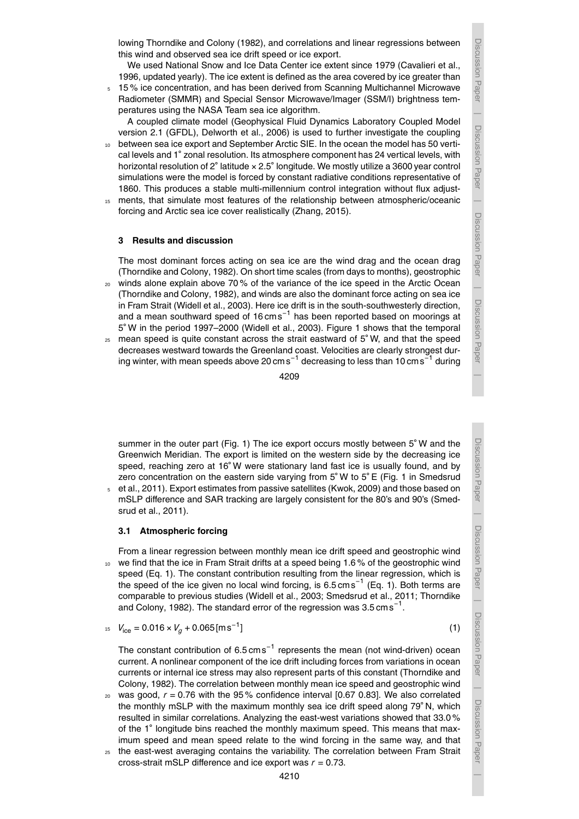Discussion

Paper | Discussion Paper

Discussion Paper

 $\overline{\phantom{a}}$ 

Discussion Paper

 $\overline{\phantom{a}}$ 

 Discussion PaperDiscussion Paper

lowing Thorndike and Colony (1982), and correlations and linear regressions between this wind and observed sea ice drift speed or ice export.

We used National Snow and Ice Data Center ice extent since 1979 (Cavalieri et al., 1996, updated yearly). The ice extent is defined as the area covered by ice greater than

<sup>5</sup> 15 % ice concentration, and has been derived from Scanning Multichannel Microwave Radiometer (SMMR) and Special Sensor Microwave/Imager (SSM/I) brightness temperatures using the NASA Team sea ice algorithm.

A coupled climate model (Geophysical Fluid Dynamics Laboratory Coupled Model version 2.1 (GFDL), Delworth et al., 2006) is used to further investigate the coupling

- between sea ice export and September Arctic SIE. In the ocean the model has 50 vertical levels and 1° zonal resolution. Its atmosphere component has 24 vertical levels, with horizontal resolution of 2 $^{\circ}$  latitude  $\times$  2.5 $^{\circ}$  longitude. We mostly utilize a 3600 year control simulations were the model is forced by constant radiative conditions representative of 1860. This produces a stable multi-millennium control integration without flux adjust-
- <sup>15</sup> ments, that simulate most features of the relationship between atmospheric/oceanic forcing and Arctic sea ice cover realistically (Zhang, 2015).

## **3 Results and discussion**

The most dominant forces acting on sea ice are the wind drag and the ocean drag (Thorndike and Colony, 1982). On short time scales (from days to months), geostrophic

- <sup>20</sup> winds alone explain above 70 % of the variance of the ice speed in the Arctic Ocean (Thorndike and Colony, 1982), and winds are also the dominant force acting on sea ice in Fram Strait (Widell et al., 2003). Here ice drift is in the south-southwesterly direction, and a mean southward speed of 16 cms<sup>-1</sup> has been reported based on moorings at 5 ◦ W in the period 1997–2000 (Widell et al., 2003). Figure 1 shows that the temporal
- $25$  mean speed is quite constant across the strait eastward of  $5°W$ , and that the speed decreases westward towards the Greenland coast. Velocities are clearly strongest during winter, with mean speeds above 20  ${\rm cm\,s}^{-1}$  decreasing to less than 10  ${\rm cm\,s}^{-1}$  during

4209

summer in the outer part (Fig. 1) The ice export occurs mostly between 5° W and the Greenwich Meridian. The export is limited on the western side by the decreasing ice speed, reaching zero at 16° W were stationary land fast ice is usually found, and by zero concentration on the eastern side varying from 5◦ W to 5◦ E (Fig. 1 in Smedsrud

<sup>5</sup> et al., 2011). Export estimates from passive satellites (Kwok, 2009) and those based on mSLP difference and SAR tracking are largely consistent for the 80's and 90's (Smedsrud et al., 2011).

## **3.1 Atmospheric forcing**

From a linear regression between monthly mean ice drift speed and geostrophic wind 10 we find that the ice in Fram Strait drifts at a speed being 1.6% of the geostrophic wind speed (Eq. 1). The constant contribution resulting from the linear regression, which is the speed of the ice given no local wind forcing, is 6.5 cms<sup>-1</sup> (Eq. 1). Both terms are comparable to previous studies (Widell et al., 2003; Smedsrud et al., 2011; Thorndike and Colony, 1982). The standard error of the regression was 3.5  $cm s^{-1}$ .

$$
V_{\text{ice}} = 0.016 \times V_g + 0.065 \text{[ms}^{-1}]
$$
 (1)

The constant contribution of 6.5 cms<sup>-1</sup> represents the mean (not wind-driven) ocean current. A nonlinear component of the ice drift including forces from variations in ocean currents or internal ice stress may also represent parts of this constant (Thorndike and Colony, 1982). The correlation between monthly mean ice speed and geostrophic wind

- <sup>20</sup> was good, *r* = 0.76 with the 95 % confidence interval [0.67 0.83]. We also correlated the monthly mSLP with the maximum monthly sea ice drift speed along 79<sup>°</sup> N, which resulted in similar correlations. Analyzing the east-west variations showed that 33.0 % of the 1◦ longitude bins reached the monthly maximum speed. This means that maximum speed and mean speed relate to the wind forcing in the same way, and that
- <sup>25</sup> the east-west averaging contains the variability. The correlation between Fram Strait cross-strait mSLP difference and ice export was *r* = 0.73.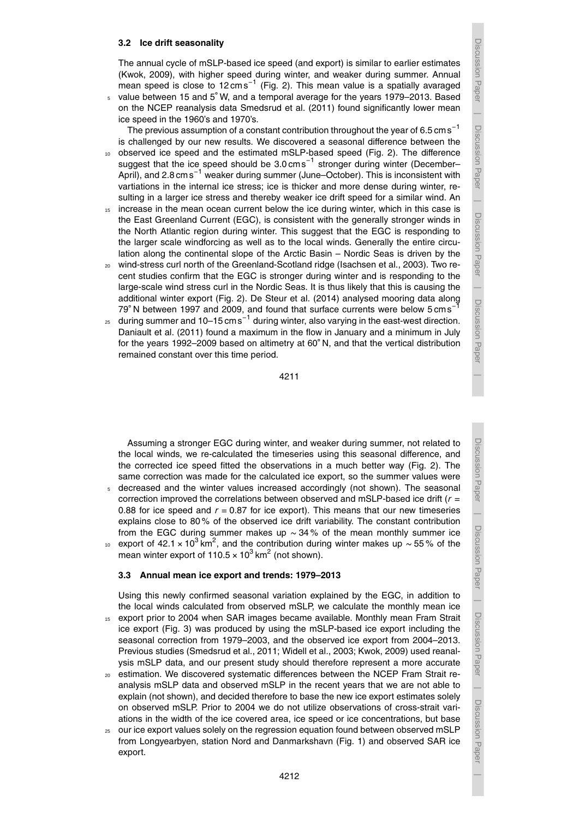## **3.2 Ice drift seasonality**

The annual cycle of mSLP-based ice speed (and export) is similar to earlier estimates (Kwok, 2009), with higher speed during winter, and weaker during summer. Annual mean speed is close to 12 cms<sup>-1</sup> (Fig. 2). This mean value is a spatially avaraged

value between 15 and 5◦ <sup>5</sup> W, and a temporal average for the years 1979–2013. Based on the NCEP reanalysis data Smedsrud et al. (2011) found significantly lower mean ice speed in the 1960's and 1970's.

The previous assumption of a constant contribution throughout the year of 6.5 cms<sup>-1</sup> is challenged by our new results. We discovered a seasonal difference between the

- <sup>10</sup> observed ice speed and the estimated mSLP-based speed (Fig. 2). The difference suggest that the ice speed should be 3.0 cms<sup>-1</sup> stronger during winter (December– April), and 2.8 cms<sup>-1</sup> weaker during summer (June–October). This is inconsistent with vartiations in the internal ice stress; ice is thicker and more dense during winter, resulting in a larger ice stress and thereby weaker ice drift speed for a similar wind. An
- <sup>15</sup> increase in the mean ocean current below the ice during winter, which in this case is the East Greenland Current (EGC), is consistent with the generally stronger winds in the North Atlantic region during winter. This suggest that the EGC is responding to the larger scale windforcing as well as to the local winds. Generally the entire circulation along the continental slope of the Arctic Basin – Nordic Seas is driven by the
- <sup>20</sup> wind-stress curl north of the Greenland-Scotland ridge (Isachsen et al., 2003). Two recent studies confirm that the EGC is stronger during winter and is responding to the large-scale wind stress curl in the Nordic Seas. It is thus likely that this is causing the additional winter export (Fig. 2). De Steur et al. (2014) analysed mooring data along 79° N between 1997 and 2009, and found that surface currents were below 5 cms<sup>-1</sup>
- <sub>25</sub> during summer and 10–15 cm s<sup>−1</sup> during winter, also varying in the east-west direction. Daniault et al. (2011) found a maximum in the flow in January and a minimum in July for the years 1992–2009 based on altimetry at 60◦ N, and that the vertical distribution remained constant over this time period.

Assuming a stronger EGC during winter, and weaker during summer, not related to the local winds, we re-calculated the timeseries using this seasonal difference, and the corrected ice speed fitted the observations in a much better way (Fig. 2). The same correction was made for the calculated ice export, so the summer values were 5 decreased and the winter values increased accordingly (not shown). The seasonal correction improved the correlations between observed and mSLP-based ice drift (*r* = 0.88 for ice speed and  $r = 0.87$  for ice export). This means that our new timeseries explains close to 80 % of the observed ice drift variability. The constant contribution from the EGC during summer makes up ∼ 34 % of the mean monthly summer ice <sub>10</sub> export of 42.1 × 10<sup>3</sup> km<sup>2</sup>, and the contribution during winter makes up ~ 55 % of the mean winter export of 110.5  $\times$  10<sup>3</sup> km<sup>2</sup> (not shown).

#### **3.3 Annual mean ice export and trends: 1979–2013**

Using this newly confirmed seasonal variation explained by the EGC, in addition to the local winds calculated from observed mSLP, we calculate the monthly mean ice

- 15 export prior to 2004 when SAR images became available. Monthly mean Fram Strait ice export (Fig. 3) was produced by using the mSLP-based ice export including the seasonal correction from 1979–2003, and the observed ice export from 2004–2013. Previous studies (Smedsrud et al., 2011; Widell et al., 2003; Kwok, 2009) used reanalysis mSLP data, and our present study should therefore represent a more accurate
- <sup>20</sup> estimation. We discovered systematic differences between the NCEP Fram Strait reanalysis mSLP data and observed mSLP in the recent years that we are not able to explain (not shown), and decided therefore to base the new ice export estimates solely on observed mSLP. Prior to 2004 we do not utilize observations of cross-strait variations in the width of the ice covered area, ice speed or ice concentrations, but base
- 25 our ice export values solely on the regression equation found between observed mSLP from Longyearbyen, station Nord and Danmarkshavn (Fig. 1) and observed SAR ice export.

Discussion Paper

Discussion Paper

 $\overline{\phantom{a}}$ 

Discussion Paper

 $\overline{\phantom{a}}$ 

Discussion Paper

 $\overline{\phantom{a}}$ 

Discussion Paper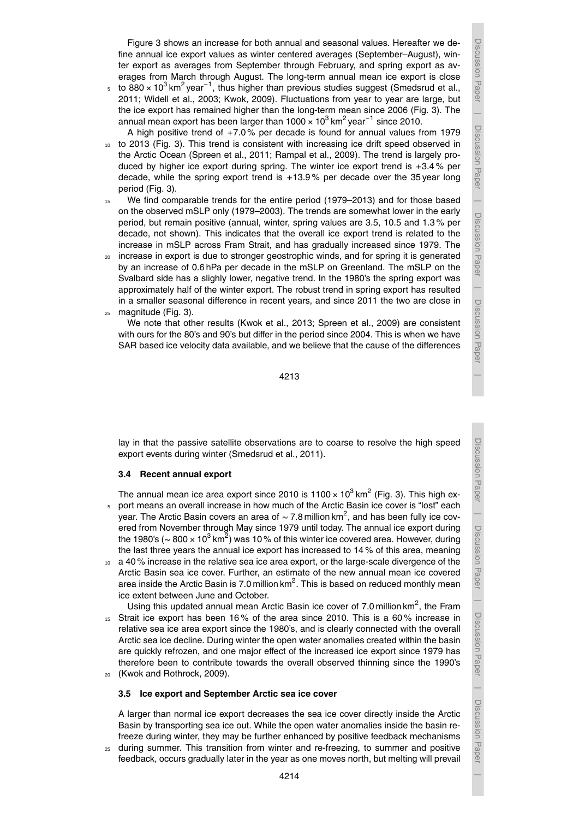Figure 3 shows an increase for both annual and seasonal values. Hereafter we define annual ice export values as winter centered averages (September–August), winter export as averages from September through February, and spring export as averages from March through August. The long-term annual mean ice export is close

 $5$  to 880 × 10<sup>3</sup> km<sup>2</sup> year<sup>−1</sup>, thus higher than previous studies suggest (Smedsrud et al., 2011; Widell et al., 2003; Kwok, 2009). Fluctuations from year to year are large, but the ice export has remained higher than the long-term mean since 2006 (Fig. 3). The annual mean export has been larger than 1000  $\times$  10<sup>3</sup> km<sup>2</sup> year<sup>-1</sup> since 2010.

A high positive trend of +7.0 % per decade is found for annual values from 1979 10 to 2013 (Fig. 3). This trend is consistent with increasing ice drift speed observed in the Arctic Ocean (Spreen et al., 2011; Rampal et al., 2009). The trend is largely produced by higher ice export during spring. The winter ice export trend is +3.4 % per decade, while the spring export trend is  $+13.9\%$  per decade over the 35 year long period (Fig. 3).

- <sup>15</sup> We find comparable trends for the entire period (1979–2013) and for those based on the observed mSLP only (1979–2003). The trends are somewhat lower in the early period, but remain positive (annual, winter, spring values are 3.5, 10.5 and 1.3 % per decade, not shown). This indicates that the overall ice export trend is related to the increase in mSLP across Fram Strait, and has gradually increased since 1979. The
- <sup>20</sup> increase in export is due to stronger geostrophic winds, and for spring it is generated by an increase of 0.6 hPa per decade in the mSLP on Greenland. The mSLP on the Svalbard side has a slighly lower, negative trend. In the 1980's the spring export was approximately half of the winter export. The robust trend in spring export has resulted in a smaller seasonal difference in recent years, and since 2011 the two are close in
- <sup>25</sup> magnitude (Fig. 3).

We note that other results (Kwok et al., 2013; Spreen et al., 2009) are consistent with ours for the 80's and 90's but differ in the period since 2004. This is when we have SAR based ice velocity data available, and we believe that the cause of the differences

4213

lay in that the passive satellite observations are to coarse to resolve the high speed export events during winter (Smedsrud et al., 2011).

## **3.4 Recent annual export**

The annual mean ice area export since 2010 is 1100  $\times$  10 $^3$  km $^2$  (Fig. 3). This high ex-<sup>5</sup> port means an overall increase in how much of the Arctic Basin ice cover is "lost" each year. The Arctic Basin covers an area of  $\sim$  7.8 million km<sup>2</sup>, and has been fully ice covered from November through May since 1979 until today. The annual ice export during the 1980's (~ 800 × 10<sup>3</sup> km<sup>2</sup>) was 10 % of this winter ice covered area. However, during the last three years the annual ice export has increased to 14 % of this area, meaning

- <sup>10</sup> a 40 % increase in the relative sea ice area export, or the large-scale divergence of the Arctic Basin sea ice cover. Further, an estimate of the new annual mean ice covered area inside the Arctic Basin is 7.0 million km<sup>2</sup>. This is based on reduced monthly mean ice extent between June and October.
- Using this updated annual mean Arctic Basin ice cover of 7.0 million  $km^2$ , the Fram <sup>15</sup> Strait ice export has been 16 % of the area since 2010. This is a 60 % increase in relative sea ice area export since the 1980's, and is clearly connected with the overall Arctic sea ice decline. During winter the open water anomalies created within the basin are quickly refrozen, and one major effect of the increased ice export since 1979 has therefore been to contribute towards the overall observed thinning since the 1990's (Kwok and Rothrock, 2009).
- 

## **3.5 Ice export and September Arctic sea ice cover**

A larger than normal ice export decreases the sea ice cover directly inside the Arctic Basin by transporting sea ice out. While the open water anomalies inside the basin refreeze during winter, they may be further enhanced by positive feedback mechanisms

<sup>25</sup> during summer. This transition from winter and re-freezing, to summer and positive feedback, occurs gradually later in the year as one moves north, but melting will prevail

Discussion Paper

 $\overline{\phantom{a}}$ 

Discussion Paper

Discussion Paper | Discussion Paper

Discussion Paper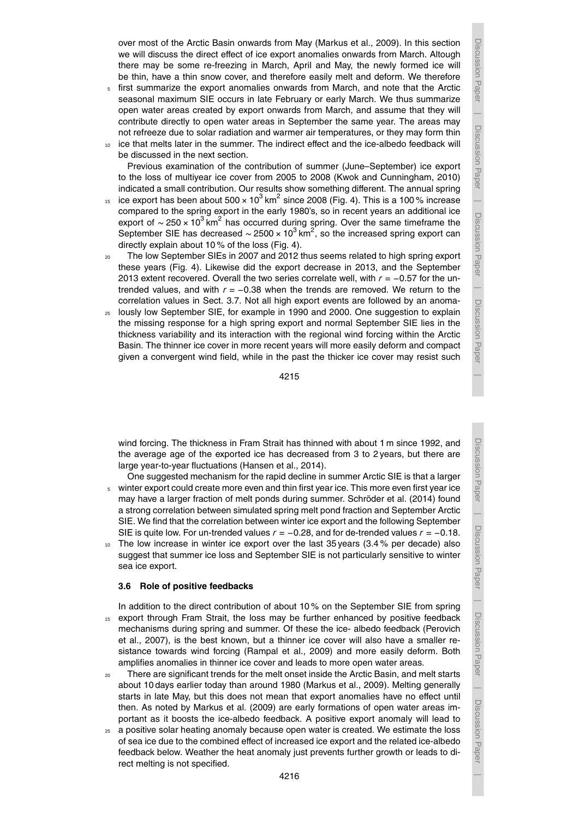Discussion Paper $\overline{\phantom{a}}$  Discussion Paper $\overline{\phantom{a}}$  Discussion Paper $\overline{\phantom{a}}$  Discussion PaperDiscussion Paper  $\overline{\phantom{a}}$ 

over most of the Arctic Basin onwards from May (Markus et al., 2009). In this section we will discuss the direct effect of ice export anomalies onwards from March. Altough there may be some re-freezing in March, April and May, the newly formed ice will be thin, have a thin snow cover, and therefore easily melt and deform. We therefore

- <sup>5</sup> first summarize the export anomalies onwards from March, and note that the Arctic seasonal maximum SIE occurs in late February or early March. We thus summarize open water areas created by export onwards from March, and assume that they will contribute directly to open water areas in September the same year. The areas may not refreeze due to solar radiation and warmer air temperatures, or they may form thin
- ice that melts later in the summer. The indirect effect and the ice-albedo feedback will be discussed in the next section.

Previous examination of the contribution of summer (June–September) ice export to the loss of multiyear ice cover from 2005 to 2008 (Kwok and Cunningham, 2010) indicated a small contribution. Our results show something different. The annual spring

- 15 ice export has been about 500  $\times$  10<sup>3</sup> km<sup>2</sup> since 2008 (Fig. 4). This is a 100 % increase compared to the spring export in the early 1980's, so in recent years an additional ice export of  $\sim$  250 × 10<sup>3</sup> km<sup>2</sup> has occurred during spring. Over the same timeframe the September SIE has decreased ~ 2500 × 10<sup>3</sup> km<sup>2</sup>, so the increased spring export can directly explain about 10 % of the loss (Fig. 4).
- <sub>20</sub> The low September SIEs in 2007 and 2012 thus seems related to high spring export these years (Fig. 4). Likewise did the export decrease in 2013, and the September 2013 extent recovered. Overall the two series correlate well, with *r* = −0.57 for the untrended values, and with  $r = -0.38$  when the trends are removed. We return to the correlation values in Sect. 3.7. Not all high export events are followed by an anoma-
- <sup>25</sup> lously low September SIE, for example in 1990 and 2000. One suggestion to explain the missing response for a high spring export and normal September SIE lies in the thickness variability and its interaction with the regional wind forcing within the Arctic Basin. The thinner ice cover in more recent years will more easily deform and compact given a convergent wind field, while in the past the thicker ice cover may resist such

wind forcing. The thickness in Fram Strait has thinned with about 1 m since 1992, and the average age of the exported ice has decreased from 3 to 2 years, but there are large year-to-year fluctuations (Hansen et al., 2014).

- One suggested mechanism for the rapid decline in summer Arctic SIE is that a larger <sup>5</sup> winter export could create more even and thin first year ice. This more even first year ice may have a larger fraction of melt ponds during summer. Schröder et al. (2014) found a strong correlation between simulated spring melt pond fraction and September Arctic SIE. We find that the correlation between winter ice export and the following September SIE is quite low. For un-trended values *r* = −0.28, and for de-trended values *r* = −0.18.
- $10$  The low increase in winter ice export over the last 35 years (3.4 % per decade) also suggest that summer ice loss and September SIE is not particularly sensitive to winter sea ice export.

## **3.6 Role of positive feedbacks**

- In addition to the direct contribution of about 10 % on the September SIE from spring <sup>15</sup> export through Fram Strait, the loss may be further enhanced by positive feedback mechanisms during spring and summer. Of these the ice- albedo feedback (Perovich et al., 2007), is the best known, but a thinner ice cover will also have a smaller resistance towards wind forcing (Rampal et al., 2009) and more easily deform. Both amplifies anomalies in thinner ice cover and leads to more open water areas.
- There are significant trends for the melt onset inside the Arctic Basin, and melt starts about 10 days earlier today than around 1980 (Markus et al., 2009). Melting generally starts in late May, but this does not mean that export anomalies have no effect until then. As noted by Markus et al. (2009) are early formations of open water areas important as it boosts the ice-albedo feedback. A positive export anomaly will lead to
- $25$  a positive solar heating anomaly because open water is created. We estimate the loss of sea ice due to the combined effect of increased ice export and the related ice-albedo feedback below. Weather the heat anomaly just prevents further growth or leads to direct melting is not specified.

Discussion Paper

Discussion Paper

 $\overline{\phantom{a}}$ 

Discussion Paper

Discussion Paper

 $\overline{\phantom{a}}$ 

Discussion Paper

 $\overline{\phantom{a}}$ 

Discussion Paper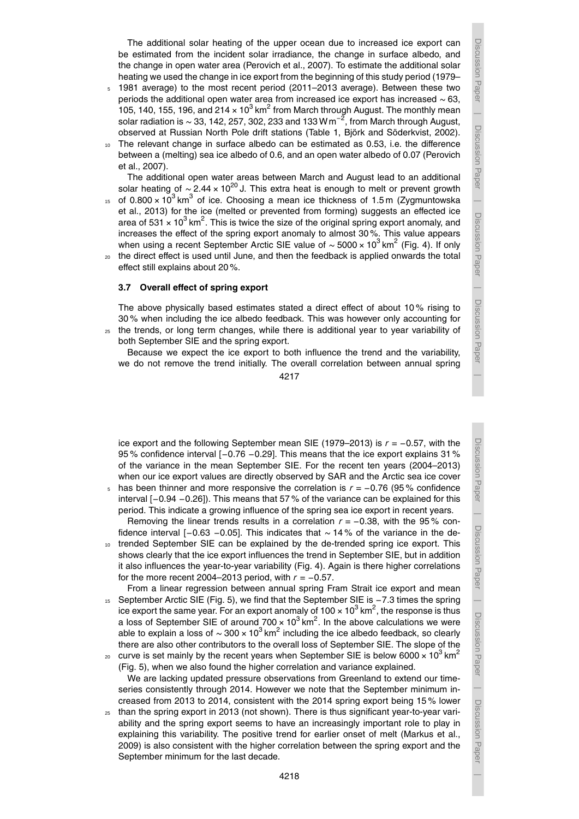- <sup>5</sup> 1981 average) to the most recent period (2011–2013 average). Between these two periods the additional open water area from increased ice export has increased ∼ 63, 105, 140, 155, 196, and 214  $\times$  10<sup>3</sup> km<sup>2</sup> from March through August. The monthly mean solar radiation is ~ 33, 142, 257, 302, 233 and 133 W m $^{-2}$ , from March through August, observed at Russian North Pole drift stations (Table 1, Björk and Söderkvist, 2002).
- <sup>10</sup> The relevant change in surface albedo can be estimated as 0.53, i.e. the difference between a (melting) sea ice albedo of 0.6, and an open water albedo of 0.07 (Perovich et al., 2007).

The additional open water areas between March and August lead to an additional solar heating of ∼ 2.44 × 10<sup>20</sup> J. This extra heat is enough to melt or prevent growth

- 15 of  $0.800 \times 10^3$  km<sup>3</sup> of ice. Choosing a mean ice thickness of 1.5 m (Zygmuntowska et al., 2013) for the ice (melted or prevented from forming) suggests an effected ice area of 531  $\times$  10<sup>3</sup> km<sup>2</sup>. This is twice the size of the original spring export anomaly, and increases the effect of the spring export anomaly to almost 30 %. This value appears when using a recent September Arctic SIE value of  $\sim$  5000 × 10<sup>3</sup> km<sup>2</sup> (Fig. 4). If only
- <sup>20</sup> the direct effect is used until June, and then the feedback is applied onwards the total effect still explains about 20 %.

## **3.7 Overall effect of spring export**

The above physically based estimates stated a direct effect of about 10 % rising to 30 % when including the ice albedo feedback. This was however only accounting for <sup>25</sup> the trends, or long term changes, while there is additional year to year variability of both September SIE and the spring export.

Because we expect the ice export to both influence the trend and the variability, we do not remove the trend initially. The overall correlation between annual spring

4217

ice export and the following September mean SIE (1979–2013) is *r* = −0.57, with the 95% confidence interval [-0.76 -0.29]. This means that the ice export explains 31% of the variance in the mean September SIE. For the recent ten years (2004–2013) when our ice export values are directly observed by SAR and the Arctic sea ice cover

- <sup>5</sup> has been thinner and more responsive the correlation is *r* = −0.76 (95 % confidence interval [−0.94 −0.26]). This means that 57 % of the variance can be explained for this period. This indicate a growing influence of the spring sea ice export in recent years. Removing the linear trends results in a correlation  $r = -0.38$ , with the 95 % con-
- fidence interval [−0.63 −0.05]. This indicates that ∼ 14 % of the variance in the de-10 trended September SIE can be explained by the de-trended spring ice export. This shows clearly that the ice export influences the trend in September SIE, but in addition
- it also influences the year-to-year variability (Fig. 4). Again is there higher correlations for the more recent 2004–2013 period, with *r* = −0.57. From a linear regression between annual spring Fram Strait ice export and mean
- <sup>15</sup> September Arctic SIE (Fig. 5), we find that the September SIE is −7.3 times the spring ice export the same year. For an export anomaly of 100  $\times$  10<sup>3</sup> km<sup>2</sup>, the response is thus a loss of September SIE of around  $700 \times 10^3$  km<sup>2</sup>. In the above calculations we were able to explain a loss of  $\sim$  300 × 10<sup>3</sup> km<sup>2</sup> including the ice albedo feedback, so clearly there are also other contributors to the overall loss of September SIE. The slope of the
- curve is set mainly by the recent years when September SIE is below 6000  $\times$  10<sup>3</sup> km<sup>2</sup> 20 (Fig. 5), when we also found the higher correlation and variance explained. We are lacking updated pressure observations from Greenland to extend our timeseries consistently through 2014. However we note that the September minimum increased from 2013 to 2014, consistent with the 2014 spring export being 15 % lower
- <sup>25</sup> than the spring export in 2013 (not shown). There is thus significant year-to-year variability and the spring export seems to have an increasingly important role to play in explaining this variability. The positive trend for earlier onset of melt (Markus et al., 2009) is also consistent with the higher correlation between the spring export and the September minimum for the last decade.

Discussion Paper

 $\overline{\phantom{a}}$ 

Discussion Paper

 $\overline{\phantom{a}}$ 

Discussion Paper

| Discussion Paper Discussion Paper

 $\overline{\phantom{a}}$ 

Discussion Paper

Discussion

 $\overline{\phantom{a}}$ 

Paper

Discussion Paper

Discussion Paper

 $\overline{\phantom{a}}$ 

Discussion Paper

 $\overline{\phantom{a}}$ 

Discussion Paper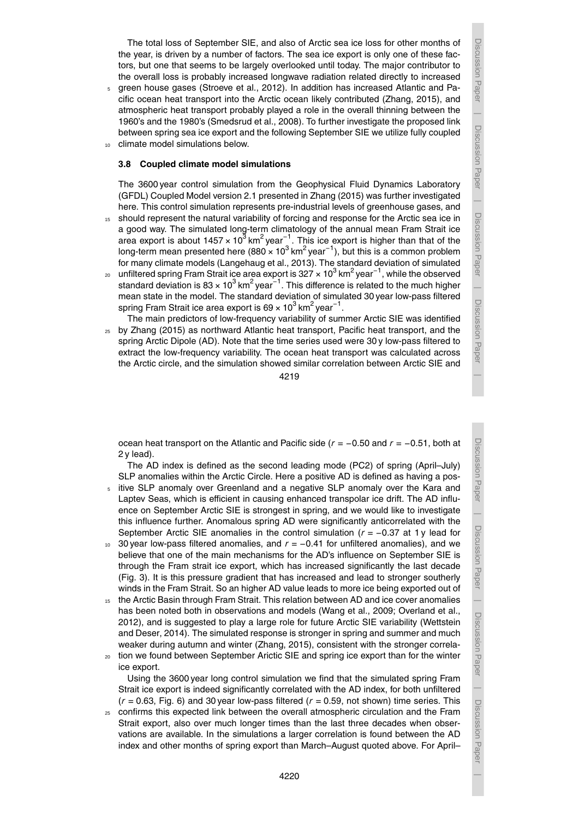Discussion Paper | Discussion Paper Discussion Paper Discussion Paper $\overline{\phantom{a}}$  Discussion PaperDiscussion Paper  $\overline{\phantom{a}}$  Discussion Paper $\overline{\phantom{a}}$ 

The total loss of September SIE, and also of Arctic sea ice loss for other months of the year, is driven by a number of factors. The sea ice export is only one of these factors, but one that seems to be largely overlooked until today. The major contributor to the overall loss is probably increased longwave radiation related directly to increased

<sup>5</sup> green house gases (Stroeve et al., 2012). In addition has increased Atlantic and Pacific ocean heat transport into the Arctic ocean likely contributed (Zhang, 2015), and atmospheric heat transport probably played a role in the overall thinning between the 1960's and the 1980's (Smedsrud et al., 2008). To further investigate the proposed link between spring sea ice export and the following September SIE we utilize fully coupled 10 climate model simulations below.

## **3.8 Coupled climate model simulations**

The 3600 year control simulation from the Geophysical Fluid Dynamics Laboratory (GFDL) Coupled Model version 2.1 presented in Zhang (2015) was further investigated here. This control simulation represents pre-industrial levels of greenhouse gases, and

- 15 should represent the natural variability of forcing and response for the Arctic sea ice in a good way. The simulated long-term climatology of the annual mean Fram Strait ice area export is about 1457 × 10<sup>3</sup> km<sup>2</sup> year<sup>-1</sup>. This ice export is higher than that of the long-term mean presented here (880 × 10 $^3$  km $^2$  year $^{-1}$ ), but this is a common problem for many climate models (Langehaug et al., 2013). The standard deviation of simulated
- 20 unfiltered spring Fram Strait ice area export is 327 × 10<sup>3</sup> km<sup>2</sup> year<sup>−1</sup>, while the observed standard deviation is 83 × 10<sup>3</sup> km<sup>2</sup> year $^{-1}$ . This difference is related to the much higher mean state in the model. The standard deviation of simulated 30 year low-pass filtered spring Fram Strait ice area export is 69 × 10 $^3$  km $^2$  year $^{-1}$ .
- The main predictors of low-frequency variability of summer Arctic SIE was identified <sup>25</sup> by Zhang (2015) as northward Atlantic heat transport, Pacific heat transport, and the spring Arctic Dipole (AD). Note that the time series used were 30 y low-pass filtered to extract the low-frequency variability. The ocean heat transport was calculated across the Arctic circle, and the simulation showed similar correlation between Arctic SIE and

4219

ocean heat transport on the Atlantic and Pacific side (*r* = −0.50 and *r* = −0.51, both at 2 y lead).

The AD index is defined as the second leading mode (PC2) of spring (April–July) SLP anomalies within the Arctic Circle. Here a positive AD is defined as having a pos-

- <sup>5</sup> itive SLP anomaly over Greenland and a negative SLP anomaly over the Kara and Laptev Seas, which is efficient in causing enhanced transpolar ice drift. The AD influence on September Arctic SIE is strongest in spring, and we would like to investigate this influence further. Anomalous spring AD were significantly anticorrelated with the September Arctic SIE anomalies in the control simulation ( $r = −0.37$  at 1y lead for
- <sup>10</sup> 30 year low-pass filtered anomalies, and *r* = −0.41 for unfiltered anomalies), and we believe that one of the main mechanisms for the AD's influence on September SIE is through the Fram strait ice export, which has increased significantly the last decade (Fig. 3). It is this pressure gradient that has increased and lead to stronger southerly winds in the Fram Strait. So an higher AD value leads to more ice being exported out of
- 15 the Arctic Basin through Fram Strait. This relation between AD and ice cover anomalies has been noted both in observations and models (Wang et al., 2009; Overland et al., 2012), and is suggested to play a large role for future Arctic SIE variability (Wettstein and Deser, 2014). The simulated response is stronger in spring and summer and much weaker during autumn and winter (Zhang, 2015), consistent with the stronger correla-
- <sup>20</sup> tion we found between September Arictic SIE and spring ice export than for the winter ice export.

Using the 3600 year long control simulation we find that the simulated spring Fram Strait ice export is indeed significantly correlated with the AD index, for both unfiltered  $(r = 0.63,$  Fig. 6) and 30 year low-pass filtered  $(r = 0.59,$  not shown) time series. This

<sub>25</sub> confirms this expected link between the overall atmospheric circulation and the Fram Strait export, also over much longer times than the last three decades when observations are available. In the simulations a larger correlation is found between the AD index and other months of spring export than March–August quoted above. For April–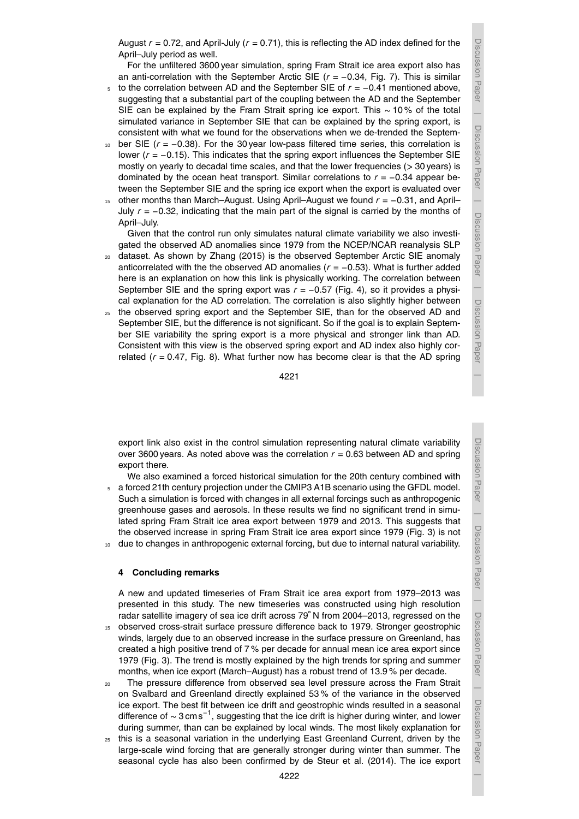Discussion Paper

 $\overline{\phantom{a}}$ 

Discussion Paper

 $\overline{\phantom{a}}$ 

Discussion Paper

 $\overline{\phantom{a}}$ 

Discussion Paper

 $\overline{\phantom{a}}$ 

August  $r = 0.72$ , and April-July  $(r = 0.71)$ , this is reflecting the AD index defined for the April–July period as well.

For the unfiltered 3600 year simulation, spring Fram Strait ice area export also has an anti-correlation with the September Arctic SIE (*r* = −0.34, Fig. 7). This is similar

- <sup>5</sup> to the correlation between AD and the September SIE of *r* = −0.41 mentioned above, suggesting that a substantial part of the coupling between the AD and the September SIE can be explained by the Fram Strait spring ice export. This ∼ 10 % of the total simulated variance in September SIE that can be explained by the spring export, is consistent with what we found for the observations when we de-trended the Septem-
- <sup>10</sup> ber SIE (*r* = −0.38). For the 30 year low-pass filtered time series, this correlation is lower (*r* = −0.15). This indicates that the spring export influences the September SIE mostly on yearly to decadal time scales, and that the lower frequencies (*>* 30 years) is dominated by the ocean heat transport. Similar correlations to  $r = -0.34$  appear between the September SIE and the spring ice export when the export is evaluated over
- <sup>15</sup> other months than March–August. Using April–August we found *r* = −0.31, and April– July *r* = −0.32, indicating that the main part of the signal is carried by the months of April–July.

Given that the control run only simulates natural climate variability we also investigated the observed AD anomalies since 1979 from the NCEP/NCAR reanalysis SLP

- <sup>20</sup> dataset. As shown by Zhang (2015) is the observed September Arctic SIE anomaly anticorrelated with the the observed AD anomalies  $(r = -0.53)$ . What is further added here is an explanation on how this link is physically working. The correlation between September SIE and the spring export was *r* = −0.57 (Fig. 4), so it provides a physical explanation for the AD correlation. The correlation is also slightly higher between
- <sup>25</sup> the observed spring export and the September SIE, than for the observed AD and September SIE, but the difference is not significant. So if the goal is to explain September SIE variability the spring export is a more physical and stronger link than AD. Consistent with this view is the observed spring export and AD index also highly correlated  $(r = 0.47,$  Fig. 8). What further now has become clear is that the AD spring

4221

export link also exist in the control simulation representing natural climate variability over 3600 years. As noted above was the correlation  $r = 0.63$  between AD and spring export there.

We also examined a forced historical simulation for the 20th century combined with  $5.$  a forced 21th century projection under the CMIP3 A1B scenario using the GFDL model. Such a simulation is forced with changes in all external forcings such as anthropogenic greenhouse gases and aerosols. In these results we find no significant trend in simulated spring Fram Strait ice area export between 1979 and 2013. This suggests that the observed increase in spring Fram Strait ice area export since 1979 (Fig. 3) is not 10 due to changes in anthropogenic external forcing, but due to internal natural variability.

## **4 Concluding remarks**

A new and updated timeseries of Fram Strait ice area export from 1979–2013 was presented in this study. The new timeseries was constructed using high resolution radar satellite imagery of sea ice drift across 79◦ N from 2004–2013, regressed on the

- <sup>15</sup> observed cross-strait surface pressure difference back to 1979. Stronger geostrophic winds, largely due to an observed increase in the surface pressure on Greenland, has created a high positive trend of 7 % per decade for annual mean ice area export since 1979 (Fig. 3). The trend is mostly explained by the high trends for spring and summer months, when ice export (March–August) has a robust trend of 13.9 % per decade.
- <sub>20</sub> The pressure difference from observed sea level pressure across the Fram Strait on Svalbard and Greenland directly explained 53 % of the variance in the observed ice export. The best fit between ice drift and geostrophic winds resulted in a seasonal difference of <sup>∼</sup> 3 cms−<sup>1</sup> , suggesting that the ice drift is higher during winter, and lower during summer, than can be explained by local winds. The most likely explanation for
- $25$  this is a seasonal variation in the underlying East Greenland Current, driven by the large-scale wind forcing that are generally stronger during winter than summer. The seasonal cycle has also been confirmed by de Steur et al. (2014). The ice export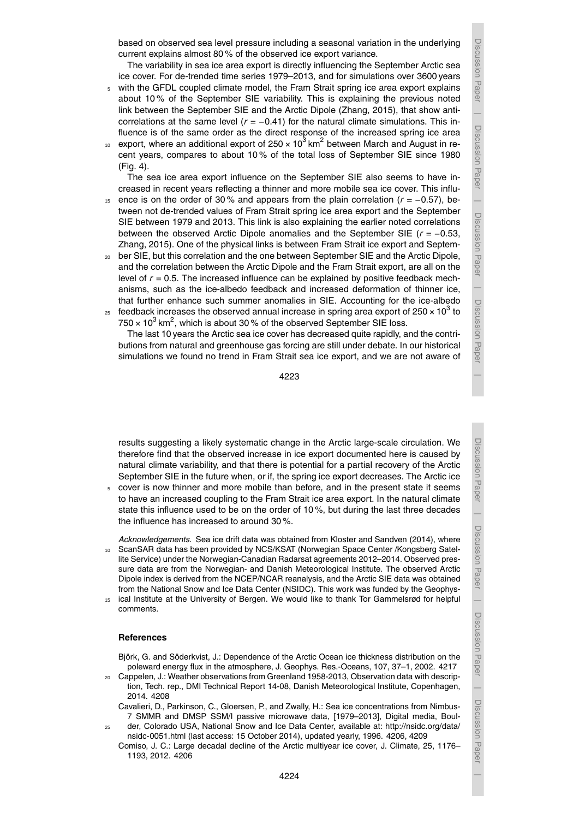Discussion

 $\overline{\phantom{a}}$ 

I Paper

Discussion Paper

Discussion Paper

 $\overline{\phantom{a}}$ 

 Discussion PaperDiscussion Paper

 Discussion PaperDiscussion Paper

based on observed sea level pressure including a seasonal variation in the underlying current explains almost 80 % of the observed ice export variance.

The variability in sea ice area export is directly influencing the September Arctic sea ice cover. For de-trended time series 1979–2013, and for simulations over 3600 years

- <sup>5</sup> with the GFDL coupled climate model, the Fram Strait spring ice area export explains about 10 % of the September SIE variability. This is explaining the previous noted link between the September SIE and the Arctic Dipole (Zhang, 2015), that show anticorrelations at the same level (*r* = −0.41) for the natural climate simulations. This influence is of the same order as the direct response of the increased spring ice area
- 10 export, where an additional export of 250  $\times$  10<sup>3</sup> km<sup>2</sup> between March and August in recent years, compares to about 10 % of the total loss of September SIE since 1980 (Fig. 4).

The sea ice area export influence on the September SIE also seems to have increased in recent years reflecting a thinner and more mobile sea ice cover. This influ-

- <sup>15</sup> ence is on the order of 30 % and appears from the plain correlation (*r* = −0.57), between not de-trended values of Fram Strait spring ice area export and the September SIE between 1979 and 2013. This link is also explaining the earlier noted correlations between the observed Arctic Dipole anomalies and the September SIE (*r* = −0.53, Zhang, 2015). One of the physical links is between Fram Strait ice export and Septem-
- ber SIE, but this correlation and the one between September SIE and the Arctic Dipole, and the correlation between the Arctic Dipole and the Fram Strait export, are all on the level of *r* = 0.5. The increased influence can be explained by positive feedback mechanisms, such as the ice-albedo feedback and increased deformation of thinner ice, that further enhance such summer anomalies in SIE. Accounting for the ice-albedo  $_{25}$  feedback increases the observed annual increase in spring area export of 250  $\times$  10<sup>3</sup> to
- 750  $\times$  10<sup>3</sup> km<sup>2</sup>, which is about 30 % of the observed September SIE loss.

The last 10 years the Arctic sea ice cover has decreased quite rapidly, and the contributions from natural and greenhouse gas forcing are still under debate. In our historical simulations we found no trend in Fram Strait sea ice export, and we are not aware of

4223

results suggesting a likely systematic change in the Arctic large-scale circulation. We therefore find that the observed increase in ice export documented here is caused by natural climate variability, and that there is potential for a partial recovery of the Arctic September SIE in the future when, or if, the spring ice export decreases. The Arctic ice

<sup>5</sup> cover is now thinner and more mobile than before, and in the present state it seems to have an increased coupling to the Fram Strait ice area export. In the natural climate state this influence used to be on the order of 10 %, but during the last three decades the influence has increased to around 30 %.

*Acknowledgements.* Sea ice drift data was obtained from Kloster and Sandven (2014), where <sup>10</sup> ScanSAR data has been provided by NCS/KSAT (Norwegian Space Center /Kongsberg Satellite Service) under the Norwegian-Canadian Radarsat agreements 2012–2014. Observed pressure data are from the Norwegian- and Danish Meteorological Institute. The observed Arctic Dipole index is derived from the NCEP/NCAR reanalysis, and the Arctic SIE data was obtained from the National Snow and Ice Data Center (NSIDC). This work was funded by the Geophys-<sup>15</sup> ical Institute at the University of Bergen. We would like to thank Tor Gammelsrød for helpful

comments.

## **References**

Björk, G. and Söderkvist, J.: Dependence of the Arctic Ocean ice thickness distribution on the poleward energy flux in the atmosphere, J. Geophys. Res.-Oceans, 107, 37–1, 2002. 4217

- <sup>20</sup> Cappelen, J.: Weather observations from Greenland 1958-2013, Observation data with description, Tech. rep., DMI Technical Report 14-08, Danish Meteorological Institute, Copenhagen, 2014. 4208
	- Cavalieri, D., Parkinson, C., Gloersen, P., and Zwally, H.: Sea ice concentrations from Nimbus-7 SMMR and DMSP SSM/I passive microwave data, [1979–2013], Digital media, Boul-
- <sup>25</sup> der, Colorado USA, National Snow and Ice Data Center, available at: http://nsidc.org/data/ nsidc-0051.html (last access: 15 October 2014), updated yearly, 1996. 4206, 4209 Comiso, J. C.: Large decadal decline of the Arctic multiyear ice cover, J. Climate, 25, 1176–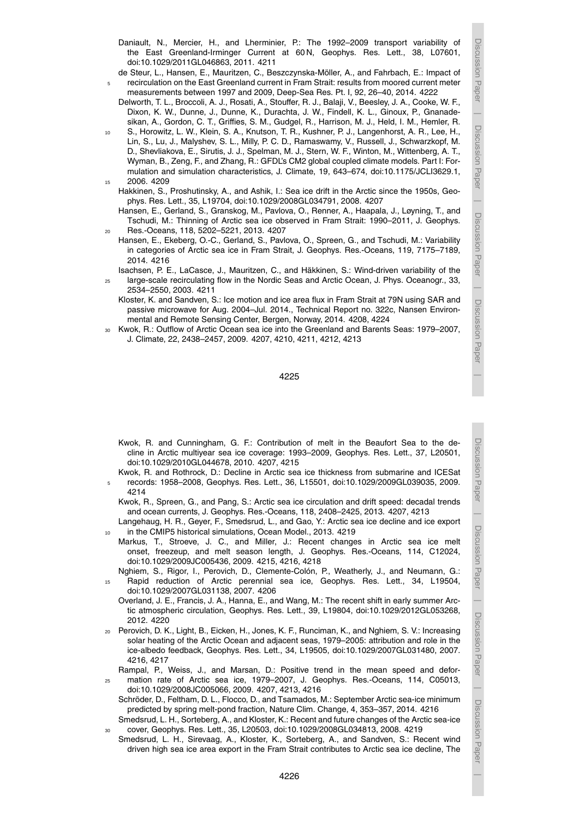$\overline{\phantom{a}}$ 

Discussion Paper

Discussion Paper

 $\overline{\phantom{a}}$ 

Discussion Paper

Discussion Paper

 $\overline{\phantom{a}}$ 

 Discussion PaperDiscussion Paper

- Daniault, N., Mercier, H., and Lherminier, P.: The 1992–2009 transport variability of the East Greenland-Irminger Current at 60 N, Geophys. Res. Lett., 38, L07601, doi:10.1029/2011GL046863, 2011. 4211
- de Steur, L., Hansen, E., Mauritzen, C., Beszczynska-Möller, A., and Fahrbach, E.: Impact of <sup>5</sup> recirculation on the East Greenland current in Fram Strait: results from moored current meter measurements between 1997 and 2009, Deep-Sea Res. Pt. I, 92, 26–40, 2014. 4222
- Delworth, T. L., Broccoli, A. J., Rosati, A., Stouffer, R. J., Balaji, V., Beesley, J. A., Cooke, W. F., Dixon, K. W., Dunne, J., Dunne, K., Durachta, J. W., Findell, K. L., Ginoux, P., Gnanadesikan, A., Gordon, C. T., Griffies, S. M., Gudgel, R., Harrison, M. J., Held, I. M., Hemler, R.
- <sup>10</sup> S., Horowitz, L. W., Klein, S. A., Knutson, T. R., Kushner, P. J., Langenhorst, A. R., Lee, H., Lin, S., Lu, J., Malyshev, S. L., Milly, P. C. D., Ramaswamy, V., Russell, J., Schwarzkopf, M. D., Shevliakova, E., Sirutis, J. J., Spelman, M. J., Stern, W. F., Winton, M., Wittenberg, A. T., Wyman, B., Zeng, F., and Zhang, R.: GFDL's CM2 global coupled climate models. Part I: Formulation and simulation characteristics, J. Climate, 19, 643–674, doi:10.1175/JCLI3629.1, 15 2006 4209
	- Hakkinen, S., Proshutinsky, A., and Ashik, I.: Sea ice drift in the Arctic since the 1950s, Geophys. Res. Lett., 35, L19704, doi:10.1029/2008GL034791, 2008. 4207
- Hansen, E., Gerland, S., Granskog, M., Pavlova, O., Renner, A., Haapala, J., Løyning, T., and Tschudi, M.: Thinning of Arctic sea ice observed in Fram Strait: 1990–2011, J. Geophys. <sup>20</sup> Res.-Oceans, 118, 5202–5221, 2013. 4207
- Hansen, E., Ekeberg, O.-C., Gerland, S., Pavlova, O., Spreen, G., and Tschudi, M.: Variability in categories of Arctic sea ice in Fram Strait, J. Geophys. Res.-Oceans, 119, 7175–7189, 2014. 4216
- Isachsen, P. E., LaCasce, J., Mauritzen, C., and Häkkinen, S.: Wind-driven variability of the <sup>25</sup> large-scale recirculating flow in the Nordic Seas and Arctic Ocean, J. Phys. Oceanogr., 33,
	- 2534–2550, 2003. 4211
	- Kloster, K. and Sandven, S.: Ice motion and ice area flux in Fram Strait at 79N using SAR and passive microwave for Aug. 2004–Jul. 2014., Technical Report no. 322c, Nansen Environmental and Remote Sensing Center, Bergen, Norway, 2014. 4208, 4224
- <sup>30</sup> Kwok, R.: Outflow of Arctic Ocean sea ice into the Greenland and Barents Seas: 1979–2007, J. Climate, 22, 2438–2457, 2009. 4207, 4210, 4211, 4212, 4213

4225

- Kwok, R. and Cunningham, G. F.: Contribution of melt in the Beaufort Sea to the decline in Arctic multiyear sea ice coverage: 1993–2009, Geophys. Res. Lett., 37, L20501, doi:10.1029/2010GL044678, 2010. 4207, 4215
- Kwok, R. and Rothrock, D.: Decline in Arctic sea ice thickness from submarine and ICESat <sup>5</sup> records: 1958–2008, Geophys. Res. Lett., 36, L15501, doi:10.1029/2009GL039035, 2009. 4214
	- Kwok, R., Spreen, G., and Pang, S.: Arctic sea ice circulation and drift speed: decadal trends and ocean currents, J. Geophys. Res.-Oceans, 118, 2408–2425, 2013. 4207, 4213
- Langehaug, H. R., Geyer, F., Smedsrud, L., and Gao, Y.: Arctic sea ice decline and ice export in the CMIP5 historical simulations, Ocean Model., 2013. 4219
- Markus, T., Stroeve, J. C., and Miller, J.: Recent changes in Arctic sea ice melt onset, freezeup, and melt season length, J. Geophys. Res.-Oceans, 114, C12024, doi:10.1029/2009JC005436, 2009. 4215, 4216, 4218
- Nghiem, S., Rigor, I., Perovich, D., Clemente-Colón, P., Weatherly, J., and Neumann, G.: Rapid reduction of Arctic perennial sea ice, Geophys. Res. Lett., 34, L19504,
- doi:10.1029/2007GL031138, 2007. 4206 Overland, J. E., Francis, J. A., Hanna, E., and Wang, M.: The recent shift in early summer Arctic atmospheric circulation, Geophys. Res. Lett., 39, L19804, doi:10.1029/2012GL053268,
- 2012. 4220 <sup>20</sup> Perovich, D. K., Light, B., Eicken, H., Jones, K. F., Runciman, K., and Nghiem, S. V.: Increasing solar heating of the Arctic Ocean and adjacent seas, 1979–2005: attribution and role in the ice-albedo feedback, Geophys. Res. Lett., 34, L19505, doi:10.1029/2007GL031480, 2007. 4216, 4217
- Rampal, P., Weiss, J., and Marsan, D.: Positive trend in the mean speed and defor-<sup>25</sup> mation rate of Arctic sea ice, 1979–2007, J. Geophys. Res.-Oceans, 114, C05013, doi:10.1029/2008JC005066, 2009. 4207, 4213, 4216
	- Schröder, D., Feltham, D. L., Flocco, D., and Tsamados, M.: September Arctic sea-ice minimum predicted by spring melt-pond fraction, Nature Clim. Change, 4, 353–357, 2014. 4216 Smedsrud, L. H., Sorteberg, A., and Kloster, K.: Recent and future changes of the Arctic sea-ice
	- <sup>30</sup> cover, Geophys. Res. Lett., 35, L20503, doi:10.1029/2008GL034813, 2008. 4219
- Smedsrud, L. H., Sirevaag, A., Kloster, K., Sorteberg, A., and Sandven, S.: Recent wind driven high sea ice area export in the Fram Strait contributes to Arctic sea ice decline, The

 Discussion PaperDiscussion Paper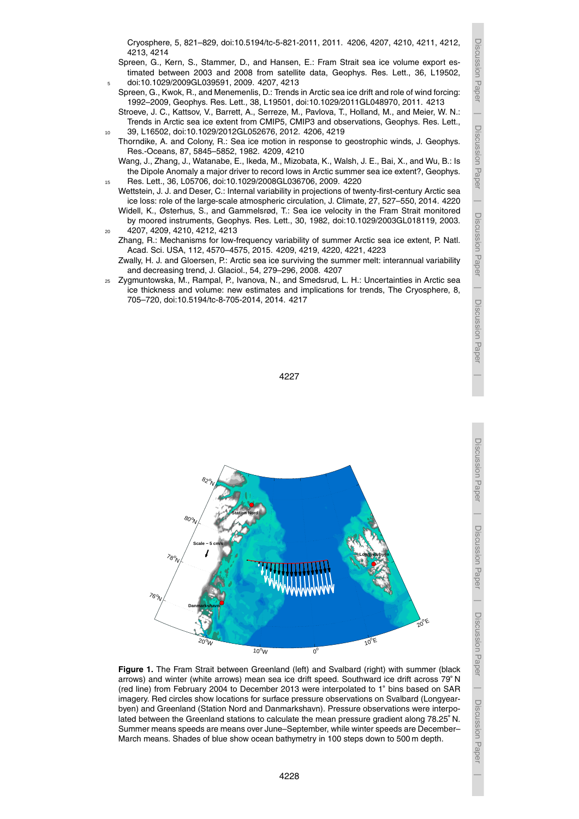Discussion Paper

 $\overline{\phantom{a}}$ 

Discussion Paper

Discussion Paper

 $\overline{\phantom{a}}$ 

 Discussion PaperDiscussion Paper

Discussion Paper

Discussion Paper

 $\overline{\phantom{a}}$ 

- Spreen, G., Kern, S., Stammer, D., and Hansen, E.: Fram Strait sea ice volume export estimated between 2003 and 2008 from satellite data, Geophys. Res. Lett., 36, L19502, <sup>5</sup> doi:10.1029/2009GL039591, 2009. 4207, 4213
- Spreen, G., Kwok, R., and Menemenlis, D.: Trends in Arctic sea ice drift and role of wind forcing: 1992–2009, Geophys. Res. Lett., 38, L19501, doi:10.1029/2011GL048970, 2011. 4213
- Stroeve, J. C., Kattsov, V., Barrett, A., Serreze, M., Pavlova, T., Holland, M., and Meier, W. N.: Trends in Arctic sea ice extent from CMIP5, CMIP3 and observations, Geophys. Res. Lett., <sup>10</sup> 39, L16502, doi:10.1029/2012GL052676, 2012. 4206, 4219
	- Thorndike, A. and Colony, R.: Sea ice motion in response to geostrophic winds, J. Geophys. Res.-Oceans, 87, 5845–5852, 1982. 4209, 4210
- Wang, J., Zhang, J., Watanabe, E., Ikeda, M., Mizobata, K., Walsh, J. E., Bai, X., and Wu, B.: Is the Dipole Anomaly a major driver to record lows in Arctic summer sea ice extent?, Geophys. <sup>15</sup> Res. Lett., 36, L05706, doi:10.1029/2008GL036706, 2009. 4220
	- Wettstein, J. J. and Deser, C.: Internal variability in projections of twenty-first-century Arctic sea ice loss: role of the large-scale atmospheric circulation, J. Climate, 27, 527–550, 2014. 4220 Widell, K., Østerhus, S., and Gammelsrød, T.: Sea ice velocity in the Fram Strait monitored by moored instruments, Geophys. Res. Lett., 30, 1982, doi:10.1029/2003GL018119, 2003.
- <sup>20</sup> 4207, 4209, 4210, 4212, 4213
	- Zhang, R.: Mechanisms for low-frequency variability of summer Arctic sea ice extent, P. Natl. Acad. Sci. USA, 112, 4570–4575, 2015. 4209, 4219, 4220, 4221, 4223
	- Zwally, H. J. and Gloersen, P.: Arctic sea ice surviving the summer melt: interannual variability and decreasing trend, J. Glaciol., 54, 279–296, 2008. 4207
- <sup>25</sup> Zygmuntowska, M., Rampal, P., Ivanova, N., and Smedsrud, L. H.: Uncertainties in Arctic sea ice thickness and volume: new estimates and implications for trends, The Cryosphere, 8, 705–720, doi:10.5194/tc-8-705-2014, 2014. 4217





**Figure 1.** The Fram Strait between Greenland (left) and Svalbard (right) with summer (black arrows) and winter (white arrows) mean sea ice drift speed. Southward ice drift across 79◦ N (red line) from February 2004 to December 2013 were interpolated to 1◦ bins based on SAR imagery. Red circles show locations for surface pressure observations on Svalbard (Longyearbyen) and Greenland (Station Nord and Danmarkshavn). Pressure observations were interpolated between the Greenland stations to calculate the mean pressure gradient along 78.25◦ N. Summer means speeds are means over June–September, while winter speeds are December– March means. Shades of blue show ocean bathymetry in 100 steps down to 500 m depth.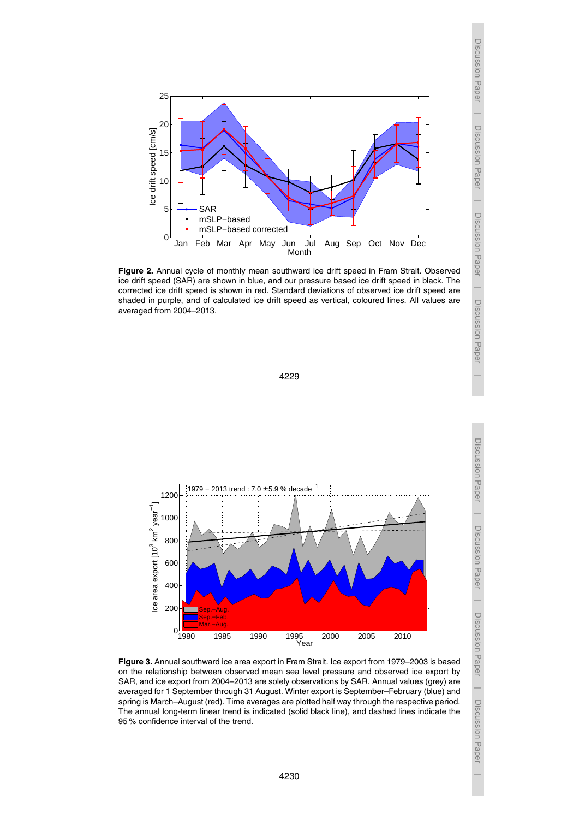

**Figure 2.** Annual cycle of monthly mean southward ice drift speed in Fram Strait. Observed ice drift speed (SAR) are shown in blue, and our pressure based ice drift speed in black. The corrected ice drift speed is shown in red. Standard deviations of observed ice drift speed are shaded in purple, and of calculated ice drift speed as vertical, coloured lines. All values are averaged from 2004–2013.





**Figure 3.** Annual southward ice area export in Fram Strait. Ice export from 1979–2003 is based on the relationship between observed mean sea level pressure and observed ice export by SAR, and ice export from 2004–2013 are solely observations by SAR. Annual values (grey) are averaged for 1 September through 31 August. Winter export is September–February (blue) and spring is March–August (red). Time averages are plotted half way through the respective period. The annual long-term linear trend is indicated (solid black line), and dashed lines indicate the 95 % confidence interval of the trend.

Discussion Paper $\overline{\phantom{a}}$  Discussion Paper $\overline{\phantom{a}}$ Discussion Paper

Discussion Paper

 $\overline{\phantom{a}}$ 

Discussion Paper

 $\overline{\phantom{a}}$ 

Discussion Paper

 $\overline{\phantom{a}}$ 

Discussion Paper

 $\overline{\phantom{a}}$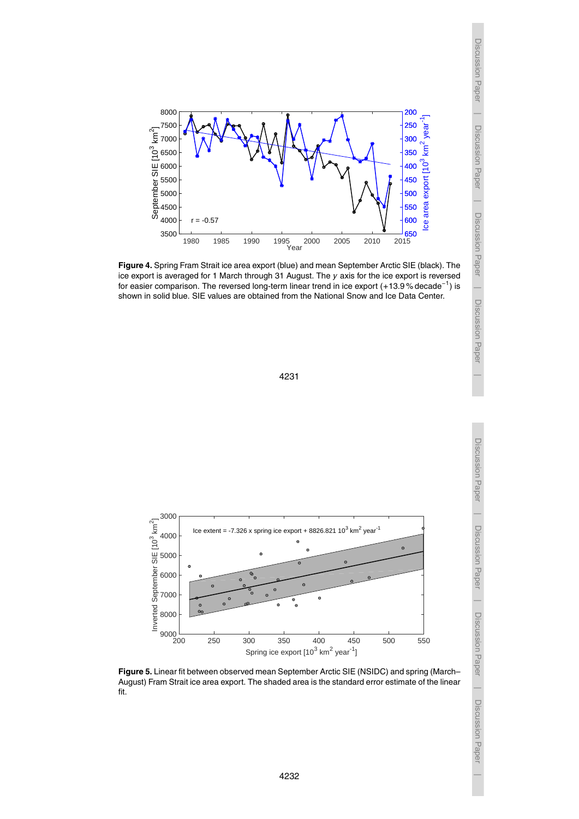







**Figure 5.** Linear fit between observed mean September Arctic SIE (NSIDC) and spring (March– August) Fram Strait ice area export. The shaded area is the standard error estimate of the linear fit.

Discussion Paper | Discussion Paper Discussion Paper $\overline{\phantom{a}}$  Discussion Paper $\overline{\phantom{a}}$ Discussion Paper

 $\overline{\phantom{a}}$ 

Discussion Paper

 $\overline{\phantom{a}}$ 

Discussion Paper

 $\overline{\phantom{a}}$ 

Discussion Paper

 $\overline{\phantom{a}}$ 

Discussion Paper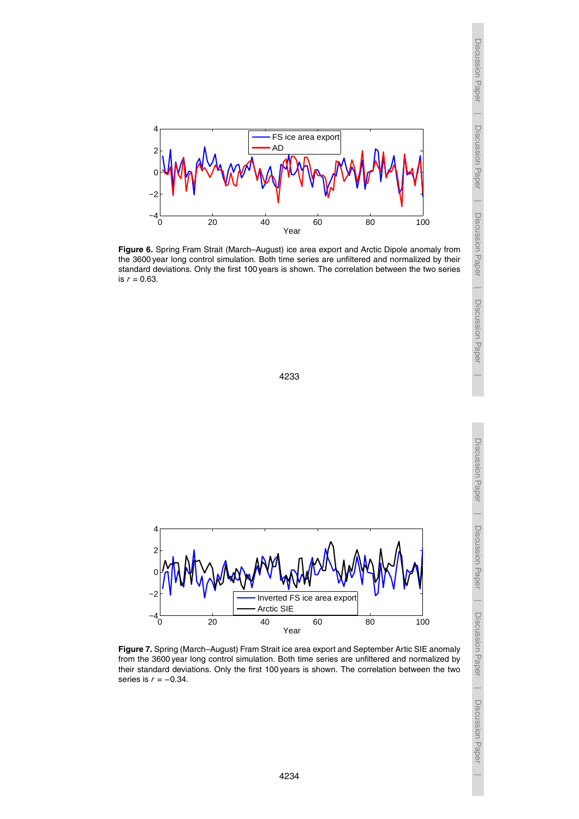

**Figure 6.** Spring Fram Strait (March–August) ice area export and Arctic Dipole anomaly from the 3600 year long control simulation. Both time series are unfiltered and normalized by their standard deviations. Only the first 100 years is shown. The correlation between the two series is *r* = 0.63.

 $\overline{\phantom{a}}$ 

Discussion Paper

 $\overline{\phantom{a}}$ 

Discussion Paper

 $\overline{\phantom{a}}$ 

Discussion Paper

 $\overline{\phantom{a}}$ 

Discussion Paper

 $\overline{\phantom{a}}$ 

Discussion Paper

 $\overline{\phantom{a}}$ 

4233



**Figure 7.** Spring (March–August) Fram Strait ice area export and September Artic SIE anomaly from the 3600 year long control simulation. Both time series are unfiltered and normalized by their standard deviations. Only the first 100 years is shown. The correlation between the two series is *r* = −0.34.